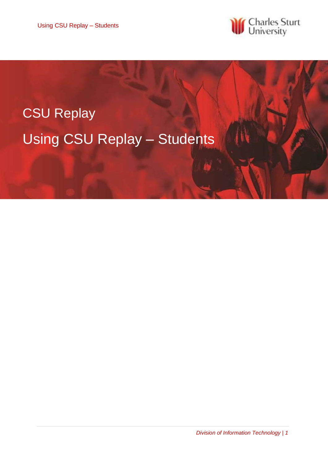Using CSU Replay – Students



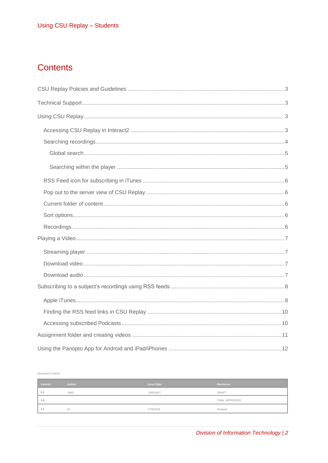## **Contents**

Document Control:

| Version | Author     | <b>Issue Date</b> | <b>Revisions</b> |
|---------|------------|-------------------|------------------|
| 0.1     | <b>SMS</b> | 20/9/2017         | <b>DRAFT</b>     |
| 1.0     |            |                   | FINAL APPROVED   |
| 1.1     | <b>JC</b>  | 17/9/2018         | Revised          |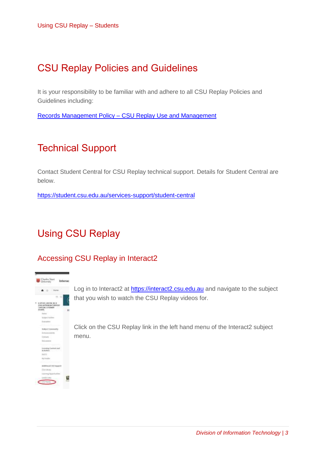## <span id="page-2-0"></span>CSU Replay Policies and Guidelines

It is your responsibility to be familiar with and adhere to all CSU Replay Policies and Guidelines including:

Records Management Policy – [CSU Replay Use and Management](https://policy.csu.edu.au/view.current.php?id=00313)

## <span id="page-2-1"></span>Technical Support

Contact Student Central for CSU Replay technical support. Details for Student Central are below.

<https://student.csu.edu.au/services-support/student-central>

# <span id="page-2-2"></span>Using CSU Replay

## <span id="page-2-3"></span>Accessing CSU Replay in Interact2



Log in to Interact2 at [https://interact2.csu.edu.au](https://interact2.csu.edu.au/) and navigate to the subject that you wish to watch the CSU Replay videos for.

Click on the CSU Replay link in the left hand menu of the Interact2 subject menu.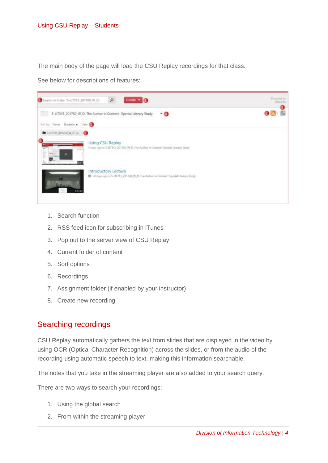The main body of the page will load the CSU Replay recordings for that class.

See below for descriptions of features:



- 1. Search function
- 2. RSS feed icon for subscribing in iTunes
- 3. Pop out to the server view of CSU Replay
- 4. Current folder of content
- 5. Sort options
- 6. Recordings
- 7. Assignment folder (if enabled by your instructor)
- 8. Create new recording

#### <span id="page-3-0"></span>Searching recordings

CSU Replay automatically gathers the text from slides that are displayed in the video by using OCR (Optical Character Recognition) across the slides, or from the audio of the recording using automatic speech to text, making this information searchable.

The notes that you take in the streaming player are also added to your search query.

There are two ways to search your recordings:

- 1. Using the global search
- 2. From within the streaming player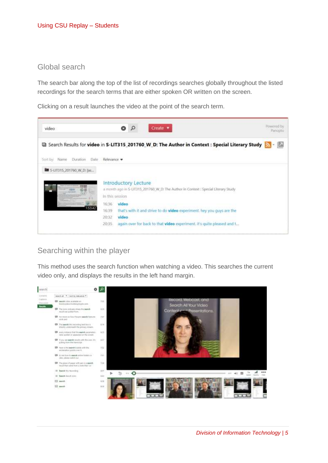### <span id="page-4-0"></span>Global search

The search bar along the top of the list of recordings searches globally throughout the listed recordings for the search terms that are either spoken OR written on the screen.

Clicking on a result launches the video at the point of the search term.



### <span id="page-4-1"></span>Searching within the player

This method uses the search function when watching a video. This searches the current video only, and displays the results in the left hand margin.

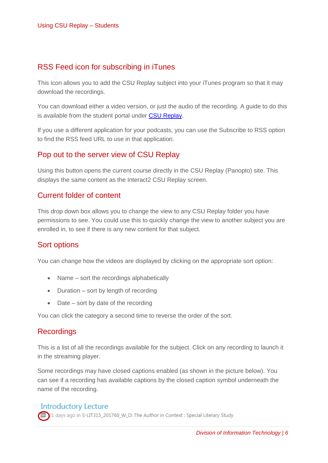### <span id="page-5-0"></span>RSS Feed icon for subscribing in iTunes

This icon allows you to add the CSU Replay subject into your iTunes program so that it may download the recordings.

You can download either a video version, or just the audio of the recording. A guide to do this is available from the student portal under [CSU Replay.](http://student.csu.edu.au/services-support/it-services/software-and-online-applications/csu-replay)

If you use a different application for your podcasts, you can use the Subscribe to RSS option to find the RSS feed URL to use in that application.

### <span id="page-5-1"></span>Pop out to the server view of CSU Replay

Using this button opens the current course directly in the CSU Replay (Panopto) site. This displays the same content as the Interact2 CSU Replay screen.

### <span id="page-5-2"></span>Current folder of content

This drop down box allows you to change the view to any CSU Replay folder you have permissions to see. You could use this to quickly change the view to another subject you are enrolled in, to see if there is any new content for that subject.

### <span id="page-5-3"></span>Sort options

You can change how the videos are displayed by clicking on the appropriate sort option:

- Name sort the recordings alphabetically
- Duration sort by length of recording
- Date sort by date of the recording

You can click the category a second time to reverse the order of the sort.

#### <span id="page-5-4"></span>**Recordings**

This is a list of all the recordings available for the subject. Click on any recording to launch it in the streaming player.

Some recordings may have closed captions enabled (as shown in the picture below). You can see if a recording has available captions by the closed caption symbol underneath the name of the recording.

#### **Introductory Lecture**

21 days ago in S-LIT315\_201760\_W\_D: The Author in Context : Special Literary Study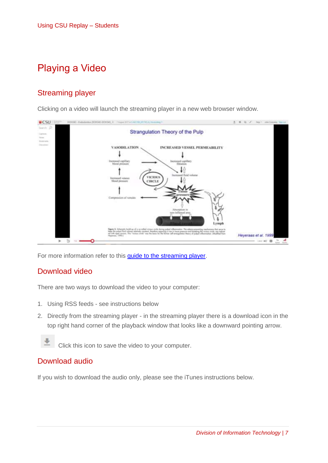## <span id="page-6-0"></span>Playing a Video

## <span id="page-6-1"></span>Streaming player

Clicking on a video will launch the streaming player in a new web browser window.



For more information refer to this [guide to the streaming player.](https://support.panopto.com/s/article/Navigate-the-Viewer)

#### <span id="page-6-2"></span>Download video

There are two ways to download the video to your computer:

- 1. Using RSS feeds see instructions below
- 2. Directly from the streaming player in the streaming player there is a download icon in the top right hand corner of the playback window that looks like a downward pointing arrow.



Click this icon to save the video to your computer.

### <span id="page-6-3"></span>Download audio

If you wish to download the audio only, please see the iTunes instructions below.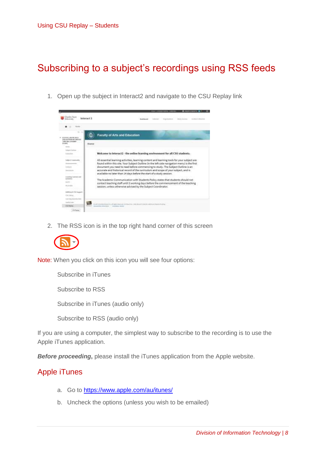## <span id="page-7-0"></span>Subscribing to a subject's recordings using RSS feeds

1. Open up the subject in Interact2 and navigate to the CSU Replay link



2. The RSS icon is in the top right hand corner of this screen



Note: When you click on this icon you will see four options:

Subscribe in iTunes Subscribe to RSS Subscribe in iTunes (audio only) Subscribe to RSS (audio only)

If you are using a computer, the simplest way to subscribe to the recording is to use the Apple iTunes application.

*Before proceeding***,** please install the iTunes application from the Apple website.

### <span id="page-7-1"></span>Apple iTunes

- a. Go to<https://www.apple.com/au/itunes/>
- b. Uncheck the options (unless you wish to be emailed)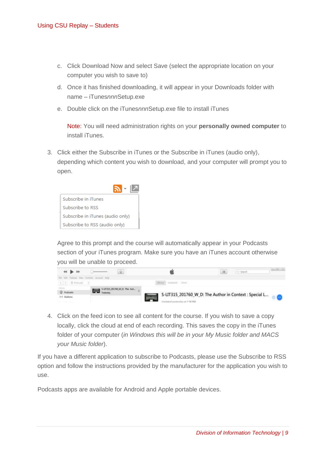- c. Click Download Now and select Save (select the appropriate location on your computer you wish to save to)
- d. Once it has finished downloading, it will appear in your Downloads folder with name – iTunes*nnn*Setup.exe
- e. Double click on the iTunes*nnn*Setup.exe file to install iTunes

Note: You will need administration rights on your **personally owned computer** to install iTunes.

3. Click either the Subscribe in iTunes or the Subscribe in iTunes (audio only), depending which content you wish to download, and your computer will prompt you to open.



Agree to this prompt and the course will automatically appear in your Podcasts section of your iTunes program. Make sure you have an iTunes account otherwise you will be unable to proceed.



4. Click on the feed icon to see all content for the course. If you wish to save a copy locally, click the cloud at end of each recording. This saves the copy in the iTunes folder of your computer (*in Windows this will be in your My Music folder and MACS your Music folder*).

If you have a different application to subscribe to Podcasts, please use the Subscribe to RSS option and follow the instructions provided by the manufacturer for the application you wish to use.

Podcasts apps are available for Android and Apple portable devices.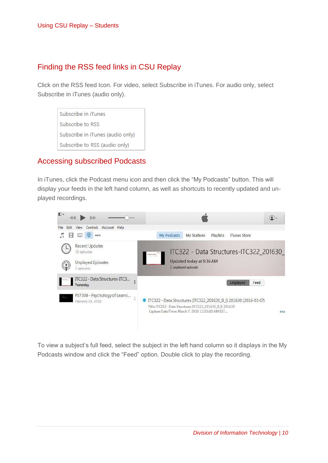### <span id="page-9-0"></span>Finding the RSS feed links in CSU Replay

Click on the RSS feed Icon. For video, select Subscribe in iTunes. For audio only, select Subscribe in iTunes (audio only).

Subscribe in iTunes Subscribe to RSS Subscribe in iTunes (audio only) Subscribe to RSS (audio only)

### <span id="page-9-1"></span>Accessing subscribed Podcasts

In iTunes, click the Podcast menu icon and then click the "My Podcasts" button. This will display your feeds in the left hand column, as well as shortcuts to recently updated and unplayed recordings.



To view a subject's full feed, select the subject in the left hand column so it displays in the My Podcasts window and click the "Feed" option. Double click to play the recording.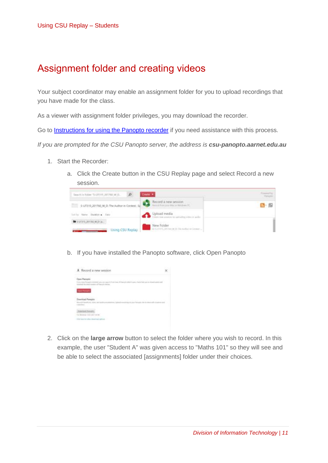## <span id="page-10-0"></span>Assignment folder and creating videos

Your subject coordinator may enable an assignment folder for you to upload recordings that you have made for the class.

As a viewer with assignment folder privileges, you may download the recorder.

Go to [Instructions for using the Panopto recorder](https://support.panopto.com/s/article/Record-a-Video) if you need assistance with this process*.*

*If you are prompted for the CSU Panopto server, the address is csu-panopto.aarnet.edu.au*

- 1. Start the Recorder:
	- a. Click the Create button in the CSU Replay page and select Record a new session.



b. If you have installed the Panopto software, click Open Panopto



2. Click on the **large arrow** button to select the folder where you wish to record. In this example, the user "Student A" was given access to "Maths 101" so they will see and be able to select the associated [assignments] folder under their choices.